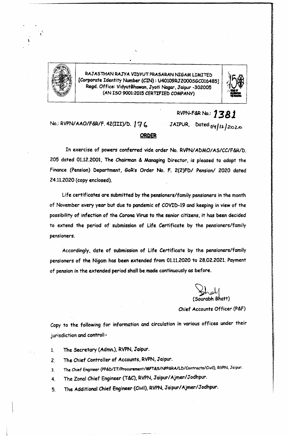

RAJASTHAN RAJYA VIDYUT PRASARAN NIGAM LIMITED [Corporate Identity Number *(CIN)*: U40109RJ2000SGC016485] Regd.Office: Vidyut8haWGn,Jyoti Nagar,.Jaipur -302005 (AN ISO 9001:2015 CERTIFIED COMPANY)



No.: RVPN/AAO/F&R/F. 42(III)/D. <sup>1</sup>76 **ORQER** RVPN-F&RNo.: **1381** J AIPUR, Dated:o'f *<sup>1</sup>'2..} 2.oUt::>*

In exercise of powers conferred vide order No. RVPN/ADMO/AS/CC/F&R/D. 205 dated 01.12.2001, The Chairman & Managing Director, is pleased to adopt the Finance (Pension) Department, GoR's Order No. F. 2(2)FD/ Pension/ 2020 dated 24.11.2020 (copy enclosed).

Life certificates are submitted by the pensioners/family pensioners in the month of November every year but due to pandemic of COVID-19 and keeping in view of the possibility of infection of the Corona Virus to the senior citizens, it has been decided to extend the period of submission of Life Certificate by the pensioners/family pensioners.

Accordingly, date of submission of Life Certificate by the pensioners/family pensioners of the Nigam has been extended from 01.11.2020 to 28.02.2021. Payment of pension in the extended period shall be made continuously as before.

Sourabh Bhatt)

Chief Accounts Officer (P&F)

Copy to the following for information and circulation in various offices under their jurisdiction and control:-

1. The Secretary (Admn.), RVPN,Jaipur.

2. The Chief Controller of Accounts, RVPN, Jaipur.

3. The Chief Engineer (PP&D/IT/Procurement/MPT&S/NPP&RA/LD/Contracts/Civil), RVPN, Jaipur.

4. The Zonal Chief Engineer (T&C), RVPN, Jaipur/Ajmer/Jodhpur.

5. The Additional Chief Engineer (Civil),RVPN,Jaipur/Ajmer/Jodhpur.